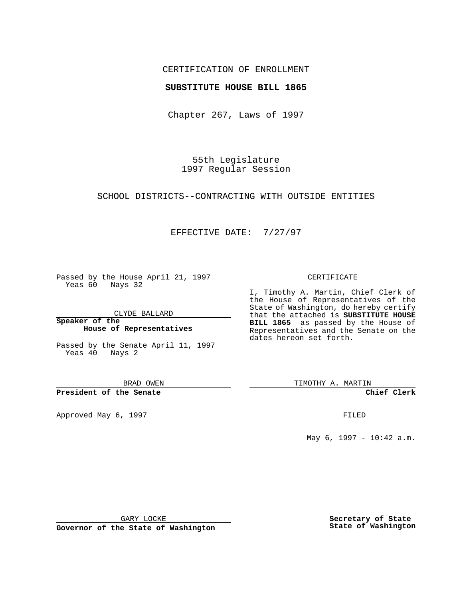## CERTIFICATION OF ENROLLMENT

### **SUBSTITUTE HOUSE BILL 1865**

Chapter 267, Laws of 1997

55th Legislature 1997 Regular Session

SCHOOL DISTRICTS--CONTRACTING WITH OUTSIDE ENTITIES

## EFFECTIVE DATE: 7/27/97

Passed by the House April 21, 1997 Yeas 60 Nays 32

CLYDE BALLARD

**Speaker of the House of Representatives**

Passed by the Senate April 11, 1997 Yeas 40 Nays 2

BRAD OWEN

**President of the Senate**

Approved May 6, 1997 **FILED** 

#### CERTIFICATE

I, Timothy A. Martin, Chief Clerk of the House of Representatives of the State of Washington, do hereby certify that the attached is **SUBSTITUTE HOUSE BILL 1865** as passed by the House of Representatives and the Senate on the dates hereon set forth.

TIMOTHY A. MARTIN

**Chief Clerk**

May 6, 1997 - 10:42 a.m.

GARY LOCKE

**Governor of the State of Washington**

**Secretary of State State of Washington**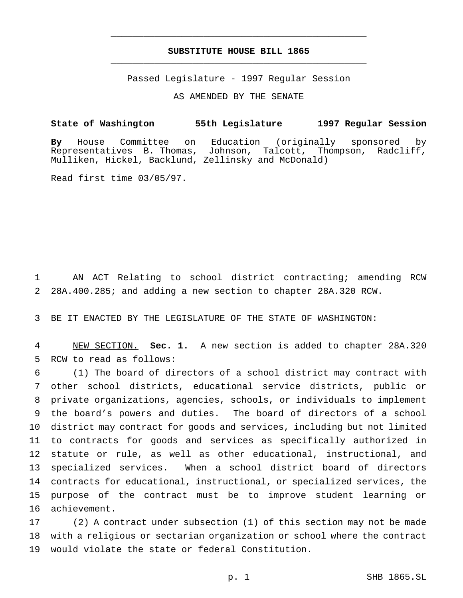# **SUBSTITUTE HOUSE BILL 1865** \_\_\_\_\_\_\_\_\_\_\_\_\_\_\_\_\_\_\_\_\_\_\_\_\_\_\_\_\_\_\_\_\_\_\_\_\_\_\_\_\_\_\_\_\_\_\_

\_\_\_\_\_\_\_\_\_\_\_\_\_\_\_\_\_\_\_\_\_\_\_\_\_\_\_\_\_\_\_\_\_\_\_\_\_\_\_\_\_\_\_\_\_\_\_

Passed Legislature - 1997 Regular Session

AS AMENDED BY THE SENATE

**State of Washington 55th Legislature 1997 Regular Session**

**By** House Committee on Education (originally sponsored by Representatives B. Thomas, Johnson, Talcott, Thompson, Radcliff, Mulliken, Hickel, Backlund, Zellinsky and McDonald)

Read first time 03/05/97.

 AN ACT Relating to school district contracting; amending RCW 28A.400.285; and adding a new section to chapter 28A.320 RCW.

BE IT ENACTED BY THE LEGISLATURE OF THE STATE OF WASHINGTON:

 NEW SECTION. **Sec. 1.** A new section is added to chapter 28A.320 RCW to read as follows:

 (1) The board of directors of a school district may contract with other school districts, educational service districts, public or private organizations, agencies, schools, or individuals to implement the board's powers and duties. The board of directors of a school district may contract for goods and services, including but not limited to contracts for goods and services as specifically authorized in statute or rule, as well as other educational, instructional, and specialized services. When a school district board of directors contracts for educational, instructional, or specialized services, the purpose of the contract must be to improve student learning or achievement.

 (2) A contract under subsection (1) of this section may not be made with a religious or sectarian organization or school where the contract would violate the state or federal Constitution.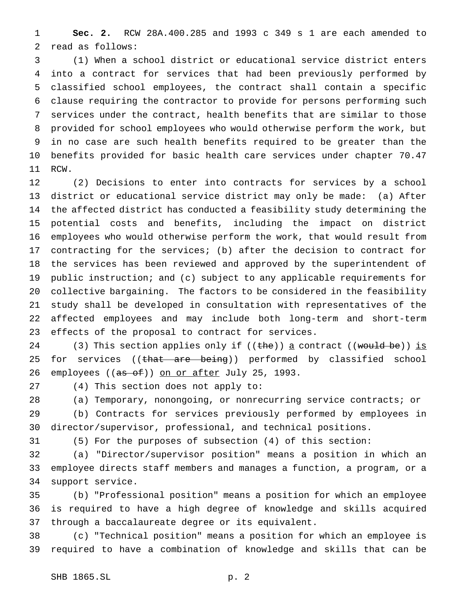**Sec. 2.** RCW 28A.400.285 and 1993 c 349 s 1 are each amended to read as follows:

 (1) When a school district or educational service district enters into a contract for services that had been previously performed by classified school employees, the contract shall contain a specific clause requiring the contractor to provide for persons performing such services under the contract, health benefits that are similar to those provided for school employees who would otherwise perform the work, but in no case are such health benefits required to be greater than the benefits provided for basic health care services under chapter 70.47 RCW.

 (2) Decisions to enter into contracts for services by a school district or educational service district may only be made: (a) After the affected district has conducted a feasibility study determining the potential costs and benefits, including the impact on district employees who would otherwise perform the work, that would result from contracting for the services; (b) after the decision to contract for the services has been reviewed and approved by the superintendent of public instruction; and (c) subject to any applicable requirements for collective bargaining. The factors to be considered in the feasibility study shall be developed in consultation with representatives of the affected employees and may include both long-term and short-term effects of the proposal to contract for services.

24 (3) This section applies only if  $((the))$  a contract  $((would be))$  is 25 for services ((<del>that are being</del>)) performed by classified school 26 employees ((as of)) on or after July 25, 1993.

(4) This section does not apply to:

 (a) Temporary, nonongoing, or nonrecurring service contracts; or (b) Contracts for services previously performed by employees in

director/supervisor, professional, and technical positions.

(5) For the purposes of subsection (4) of this section:

 (a) "Director/supervisor position" means a position in which an employee directs staff members and manages a function, a program, or a support service.

 (b) "Professional position" means a position for which an employee is required to have a high degree of knowledge and skills acquired through a baccalaureate degree or its equivalent.

 (c) "Technical position" means a position for which an employee is required to have a combination of knowledge and skills that can be